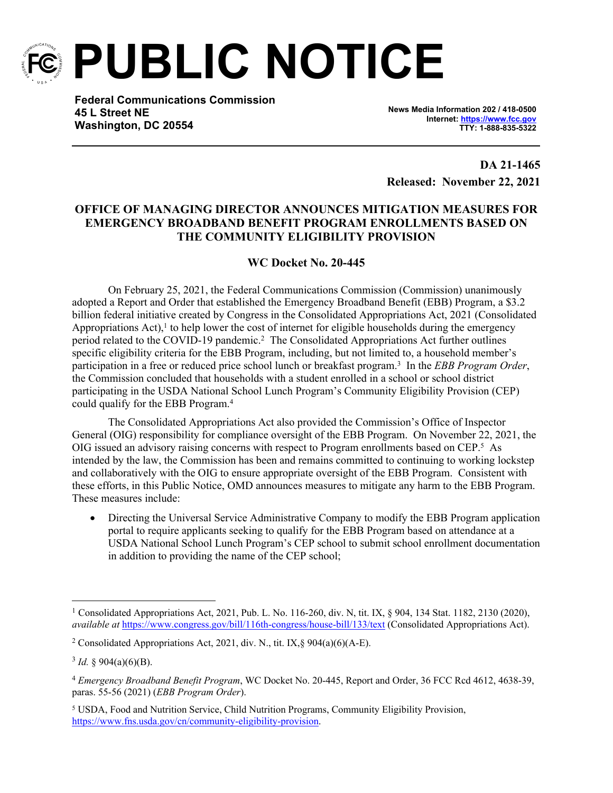

**PUBLIC NOTICE**

**Federal Communications Commission 45 L Street NE Washington, DC 20554**

**News Media Information 202 / 418-0500 Internet:<https://www.fcc.gov> TTY: 1-888-835-5322**

**DA 21-1465 Released: November 22, 2021**

## **OFFICE OF MANAGING DIRECTOR ANNOUNCES MITIGATION MEASURES FOR EMERGENCY BROADBAND BENEFIT PROGRAM ENROLLMENTS BASED ON THE COMMUNITY ELIGIBILITY PROVISION**

## **WC Docket No. 20-445**

On February 25, 2021, the Federal Communications Commission (Commission) unanimously adopted a Report and Order that established the Emergency Broadband Benefit (EBB) Program, a \$3.2 billion federal initiative created by Congress in the Consolidated Appropriations Act, 2021 (Consolidated Appropriations  $Act$ ),<sup>1</sup> to help lower the cost of internet for eligible households during the emergency period related to the COVID-19 pandemic.<sup>2</sup> The Consolidated Appropriations Act further outlines specific eligibility criteria for the EBB Program, including, but not limited to, a household member's participation in a free or reduced price school lunch or breakfast program.<sup>3</sup> In the *EBB Program Order*, the Commission concluded that households with a student enrolled in a school or school district participating in the USDA National School Lunch Program's Community Eligibility Provision (CEP) could qualify for the EBB Program.<sup>4</sup>

The Consolidated Appropriations Act also provided the Commission's Office of Inspector General (OIG) responsibility for compliance oversight of the EBB Program. On November 22, 2021, the OIG issued an advisory raising concerns with respect to Program enrollments based on CEP.<sup>5</sup> As intended by the law, the Commission has been and remains committed to continuing to working lockstep and collaboratively with the OIG to ensure appropriate oversight of the EBB Program. Consistent with these efforts, in this Public Notice, OMD announces measures to mitigate any harm to the EBB Program. These measures include:

 Directing the Universal Service Administrative Company to modify the EBB Program application portal to require applicants seeking to qualify for the EBB Program based on attendance at a USDA National School Lunch Program's CEP school to submit school enrollment documentation in addition to providing the name of the CEP school;

<sup>&</sup>lt;sup>1</sup> Consolidated Appropriations Act, 2021, Pub. L. No. 116-260, div. N, tit. IX, § 904, 134 Stat. 1182, 2130 (2020), *available at* <https://www.congress.gov/bill/116th-congress/house-bill/133/text>(Consolidated Appropriations Act).

<sup>&</sup>lt;sup>2</sup> Consolidated Appropriations Act, 2021, div. N., tit. IX, § 904(a)(6)(A-E).

 $3$  *Id.* § 904(a)(6)(B).

<sup>4</sup> *Emergency Broadband Benefit Program*, WC Docket No. 20-445, Report and Order, 36 FCC Rcd 4612, 4638-39, paras. 55-56 (2021) (*EBB Program Order*).

<sup>&</sup>lt;sup>5</sup> USDA, Food and Nutrition Service, Child Nutrition Programs, Community Eligibility Provision, <https://www.fns.usda.gov/cn/community-eligibility-provision>.